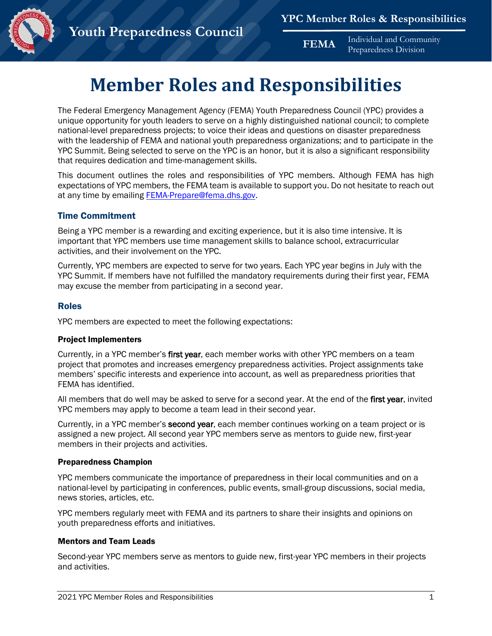**FEMA** Individual and Community Preparedness Division



# **Member Roles and Responsibilities**

The Federal Emergency Management Agency (FEMA) Youth Preparedness Council (YPC) provides a unique opportunity for youth leaders to serve on a highly distinguished national council; to complete national-level preparedness projects; to voice their ideas and questions on disaster preparedness with the leadership of FEMA and national youth preparedness organizations; and to participate in the YPC Summit. Being selected to serve on the YPC is an honor, but it is also a significant responsibility that requires dedication and time-management skills.

This document outlines the roles and responsibilities of YPC members. Although FEMA has high expectations of YPC members, the FEMA team is available to support you. Do not hesitate to reach out at any time by emailing [FEMA-Prepare@fema.dhs.gov.](mailto:FEMA-Prepare@fema.dhs.gov)

## Time Commitment

Being a YPC member is a rewarding and exciting experience, but it is also time intensive. It is important that YPC members use time management skills to balance school, extracurricular activities, and their involvement on the YPC.

Currently, YPC members are expected to serve for two years. Each YPC year begins in July with the YPC Summit. If members have not fulfilled the mandatory requirements during their first year, FEMA may excuse the member from participating in a second year.

#### Roles

YPC members are expected to meet the following expectations:

**Youth Preparedness Council**

#### Project Implementers

Currently, in a YPC member's first year, each member works with other YPC members on a team project that promotes and increases emergency preparedness activities. Project assignments take members' specific interests and experience into account, as well as preparedness priorities that FEMA has identified.

All members that do well may be asked to serve for a second year. At the end of the first year, invited YPC members may apply to become a team lead in their second year.

Currently, in a YPC member's second year, each member continues working on a team project or is assigned a new project. All second year YPC members serve as mentors to guide new, first-year members in their projects and activities.

#### Preparedness Champion

YPC members communicate the importance of preparedness in their local communities and on a national-level by participating in conferences, public events, small-group discussions, social media, news stories, articles, etc.

YPC members regularly meet with FEMA and its partners to share their insights and opinions on youth preparedness efforts and initiatives.

### Mentors and Team Leads

Second-year YPC members serve as mentors to guide new, first-year YPC members in their projects and activities.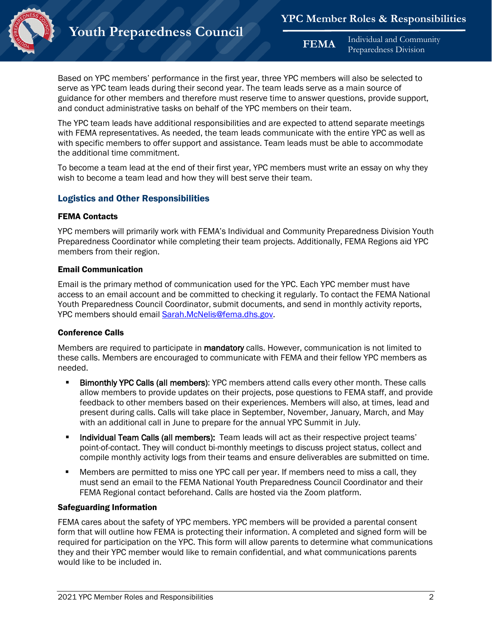

**FEMA** Individual and Community Preparedness Division

Based on YPC members' performance in the first year, three YPC members will also be selected to serve as YPC team leads during their second year. The team leads serve as a main source of guidance for other members and therefore must reserve time to answer questions, provide support, and conduct administrative tasks on behalf of the YPC members on their team.

The YPC team leads have additional responsibilities and are expected to attend separate meetings with FEMA representatives. As needed, the team leads communicate with the entire YPC as well as with specific members to offer support and assistance. Team leads must be able to accommodate the additional time commitment.

To become a team lead at the end of their first year, YPC members must write an essay on why they wish to become a team lead and how they will best serve their team.

# Logistics and Other Responsibilities

### FEMA Contacts

YPC members will primarily work with FEMA's Individual and Community Preparedness Division Youth Preparedness Coordinator while completing their team projects. Additionally, FEMA Regions aid YPC members from their region.

### Email Communication

Email is the primary method of communication used for the YPC. Each YPC member must have access to an email account and be committed to checking it regularly. To contact the FEMA National Youth Preparedness Council Coordinator, submit documents, and send in monthly activity reports, YPC members should email [Sarah.McNelis@fema.dhs.gov.](mailto:Sarah.McNelis@fema.dhs.gov)

### Conference Calls

Members are required to participate in mandatory calls. However, communication is not limited to these calls. Members are encouraged to communicate with FEMA and their fellow YPC members as needed.

- **Bimonthly YPC Calls (all members):** YPC members attend calls every other month. These calls allow members to provide updates on their projects, pose questions to FEMA staff, and provide feedback to other members based on their experiences. Members will also, at times, lead and present during calls. Calls will take place in September, November, January, March, and May with an additional call in June to prepare for the annual YPC Summit in July.
- **Individual Team Calls (all members):** Team leads will act as their respective project teams' point-of-contact. They will conduct bi-monthly meetings to discuss project status, collect and compile monthly activity logs from their teams and ensure deliverables are submitted on time.
- Members are permitted to miss one YPC call per year. If members need to miss a call, they must send an email to the FEMA National Youth Preparedness Council Coordinator and their FEMA Regional contact beforehand. Calls are hosted via the Zoom platform.

# Safeguarding Information

FEMA cares about the safety of YPC members. YPC members will be provided a parental consent form that will outline how FEMA is protecting their information. A completed and signed form will be required for participation on the YPC. This form will allow parents to determine what communications they and their YPC member would like to remain confidential, and what communications parents would like to be included in.